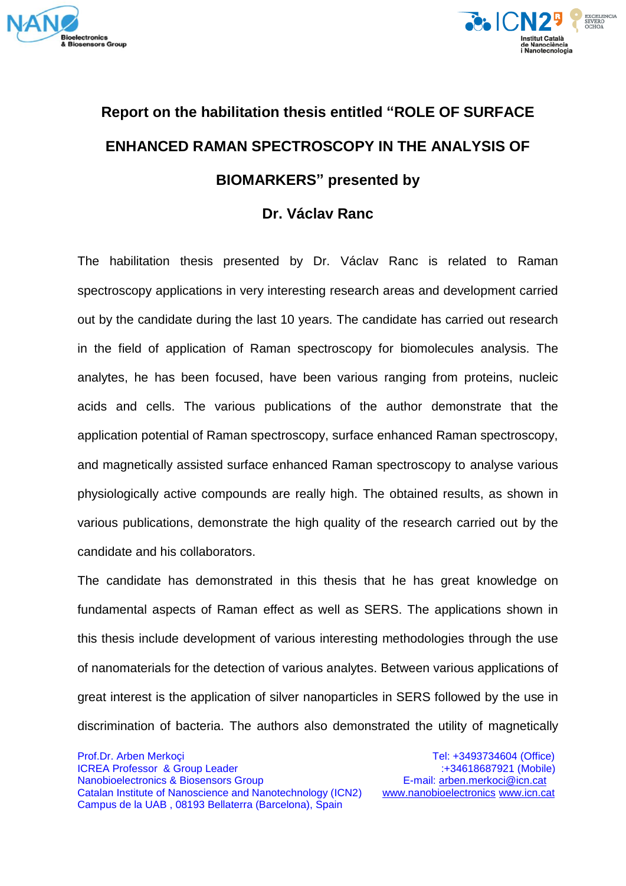



## **Report on the habilitation thesis entitled "ROLE OF SURFACE ENHANCED RAMAN SPECTROSCOPY IN THE ANALYSIS OF BIOMARKERS" presented by**

## **Dr. Václav Ranc**

The habilitation thesis presented by Dr. Václav Ranc is related to Raman spectroscopy applications in very interesting research areas and development carried out by the candidate during the last 10 years. The candidate has carried out research in the field of application of Raman spectroscopy for biomolecules analysis. The analytes, he has been focused, have been various ranging from proteins, nucleic acids and cells. The various publications of the author demonstrate that the application potential of Raman spectroscopy, surface enhanced Raman spectroscopy, and magnetically assisted surface enhanced Raman spectroscopy to analyse various physiologically active compounds are really high. The obtained results, as shown in various publications, demonstrate the high quality of the research carried out by the candidate and his collaborators.

The candidate has demonstrated in this thesis that he has great knowledge on fundamental aspects of Raman effect as well as SERS. The applications shown in this thesis include development of various interesting methodologies through the use of nanomaterials for the detection of various analytes. Between various applications of great interest is the application of silver nanoparticles in SERS followed by the use in discrimination of bacteria. The authors also demonstrated the utility of magnetically